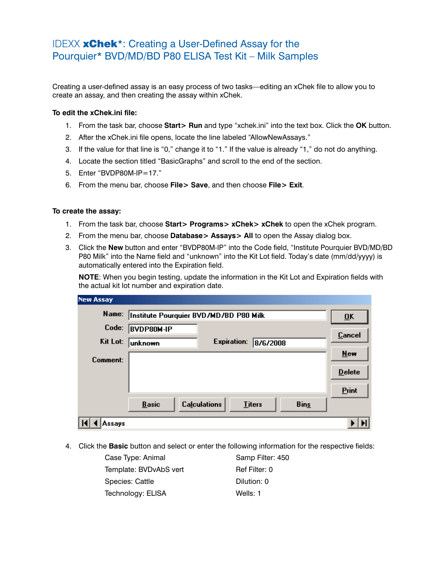## IDEXX xChek\*: Creating a User-Defined Assay for the Pourquier\* BVD/MD/BD P80 ELISA Test Kit – Milk Samples

Creating a user-defined assay is an easy process of two tasks—editing an xChek file to allow you to create an assay, and then creating the assay within xChek.

## **To edit the xChek.ini file:**

- 1. From the task bar, choose **Start> Run** and type "xchek.ini" into the text box. Click the **OK** button.
- 2. After the xChek.ini file opens, locate the line labeled "AllowNewAssays."
- 3. If the value for that line is "0," change it to "1." If the value is already "1," do not do anything.
- 4. Locate the section titled "BasicGraphs" and scroll to the end of the section.
- 5. Enter "BVDP80M-IP=17."
- 6. From the menu bar, choose **File> Save**, and then choose **File> Exit**.

## **To create the assay:**

- 1. From the task bar, choose **Start> Programs> xChek> xChek** to open the xChek program.
- 2. From the menu bar, choose **Database> Assays> All** to open the Assay dialog box.
- 3. Click the **New** button and enter "BVDP80M-IP" into the Code field, "Institute Pourquier BVD/MD/BD P80 Milk" into the Name field and "unknown" into the Kit Lot field. Today's date (mm/dd/yyyy) is automatically entered into the Expiration field.

**NOTE:** When you begin testing, update the information in the Kit Lot and Expiration fields with the actual kit lot number and expiration date.

| <b>New Assay</b> |                                                                     |                           |
|------------------|---------------------------------------------------------------------|---------------------------|
| Name:            | Institute Pourquier BVD/MD/BD P80 Milk                              | $\overline{\mathbf{0}}$ K |
| Code:            | <b>BVDP80M-IP</b>                                                   | <b>Cancel</b>             |
| Kit Lot:         | <b>Expiration:</b><br>8/6/2008<br>unknown                           |                           |
| Comment:         |                                                                     | <b>New</b>                |
|                  |                                                                     | <b>Delete</b>             |
|                  |                                                                     | Print                     |
|                  | <b>Calculations</b><br><b>Basic</b><br><b>Titers</b><br><b>Bins</b> |                           |
| Assays           |                                                                     |                           |

4. Click the **Basic** button and select or enter the following information for the respective fields:

| Case Type: Animal      | Samp Filter: 450 |
|------------------------|------------------|
| Template: BVDvAbS vert | Ref Filter: 0    |
| Species: Cattle        | Dilution: 0      |
| Technology: ELISA      | Wells: 1         |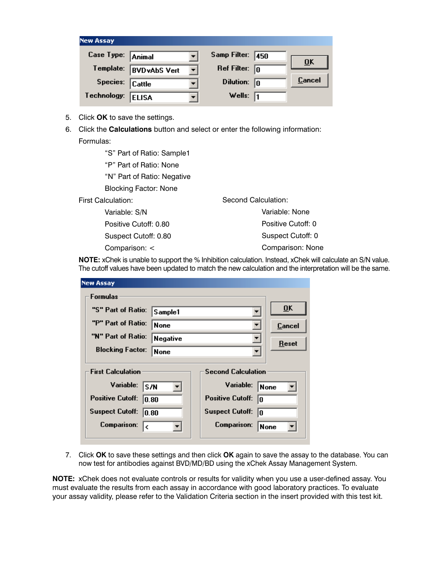| <b>New Assay</b>  |                      |   |                         |     |               |
|-------------------|----------------------|---|-------------------------|-----|---------------|
| Case Type: Animal |                      |   | Samp Filter:            | 450 |               |
| Template:         | <b>BVD</b> vAbS Vert | ▼ | Ref Filter: $\boxed{0}$ |     | ŪΚ            |
| Species: Cattle   |                      |   | Dilution:               | 10  | <b>Cancel</b> |
| Technology:       | <b>ELISA</b>         |   | Wells:                  | I1  |               |

- 5. Click **OK** to save the settings.
- 6. Click the **Calculations** button and select or enter the following information: Formulas:

 "S" Part of Ratio: Sample1 "P" Part of Ratio: None "N" Part of Ratio: Negative Blocking Factor: None First Calculation: Variable: S/N Positive Cutoff: 0.80 Suspect Cutoff: 0.80 Comparison: < Second Calculation: Variable: None Positive Cutoff: 0 Suspect Cutoff: 0 Comparison: None

**NOTE:** xChek is unable to support the % Inhibition calculation. Instead, xChek will calculate an S/N value. The cutoff values have been updated to match the new calculation and the interpretation will be the same.

| <b>New Assay</b>                 |          |                               |                  |
|----------------------------------|----------|-------------------------------|------------------|
| <b>Formulas</b>                  |          |                               |                  |
| "S" Part of Ratio:               | Sample1  |                               | $\overline{0}$ K |
| "P" Part of Ratio:               | None     |                               | Cancel           |
| "N" Part of Ratio:               | Negative |                               | Reset            |
| <b>Blocking Factor:</b>          | None     |                               |                  |
| <b>First Calculation</b>         |          | <b>Second Calculation</b>     |                  |
| Variable:<br>ls/N                |          | Variable:                     | None             |
| <b>Positive Cutoff:</b><br>10.80 |          | <b>Positive Cutoff:</b><br>lo |                  |
| <b>Suspect Cutoff:</b><br>10.80  |          | <b>Suspect Cutoff:</b><br>I٥  |                  |
| <b>Comparison:</b><br>I۷         |          | <b>Comparison:</b>            | None             |
|                                  |          |                               |                  |

7. Click **OK** to save these settings and then click **OK** again to save the assay to the database. You can now test for antibodies against BVD/MD/BD using the xChek Assay Management System.

**NOTE:** xChek does not evaluate controls or results for validity when you use a user-defined assay. You must evaluate the results from each assay in accordance with good laboratory practices. To evaluate your assay validity, please refer to the Validation Criteria section in the insert provided with this test kit.